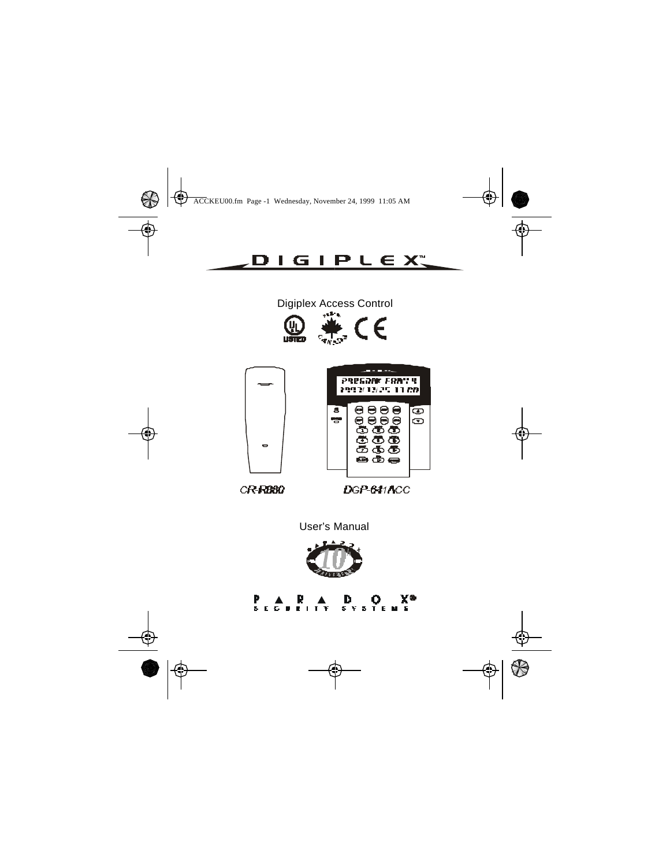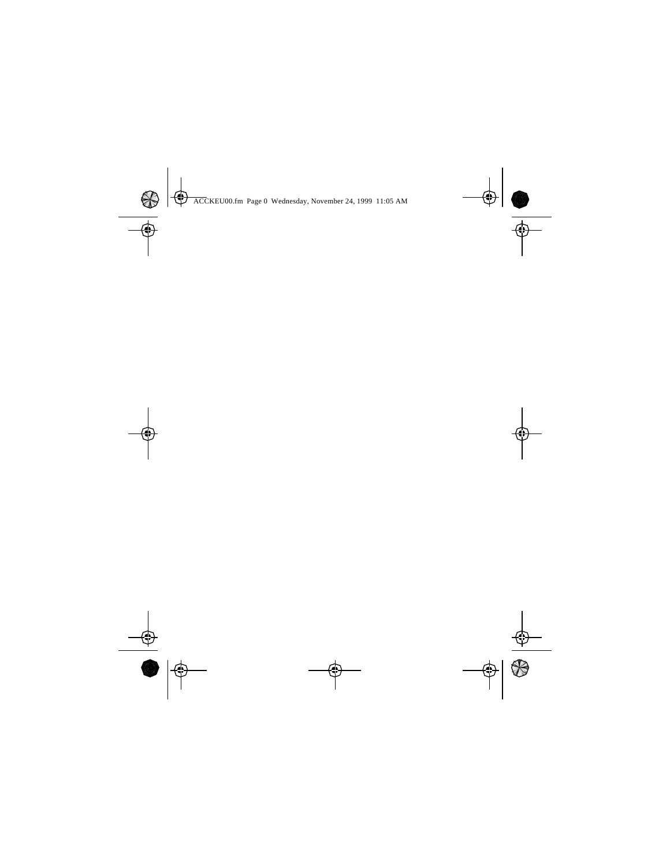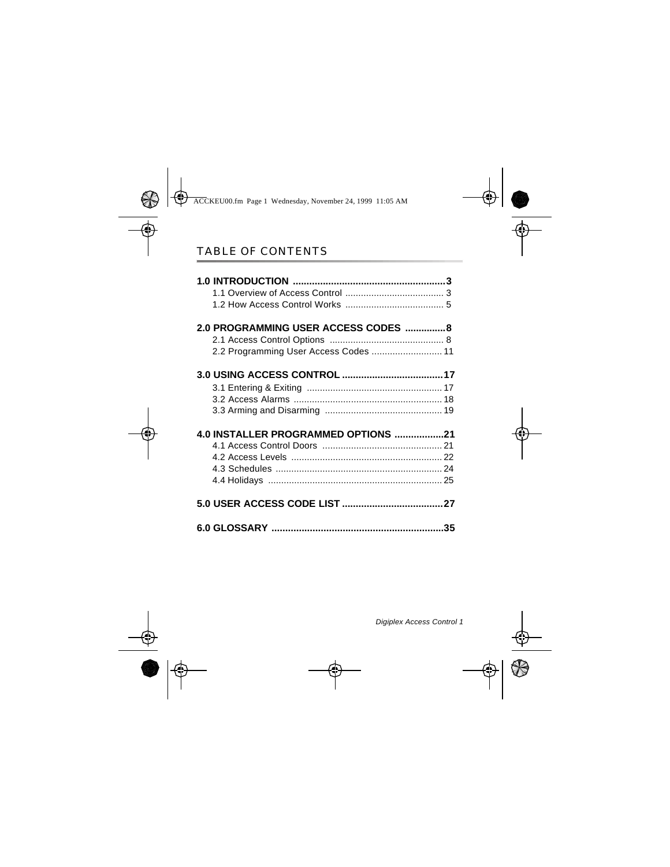

# TABLE OF CONTENTS

 $\bigcircledast$ 

 $\overline{\bigoplus}$ 

| 2.0 PROGRAMMING USER ACCESS CODES 8   |  |
|---------------------------------------|--|
|                                       |  |
| 2.2 Programming User Access Codes  11 |  |
|                                       |  |
|                                       |  |
|                                       |  |
|                                       |  |
| 4.0 INSTALLER PROGRAMMED OPTIONS 21   |  |
|                                       |  |
|                                       |  |
|                                       |  |
|                                       |  |
|                                       |  |
|                                       |  |

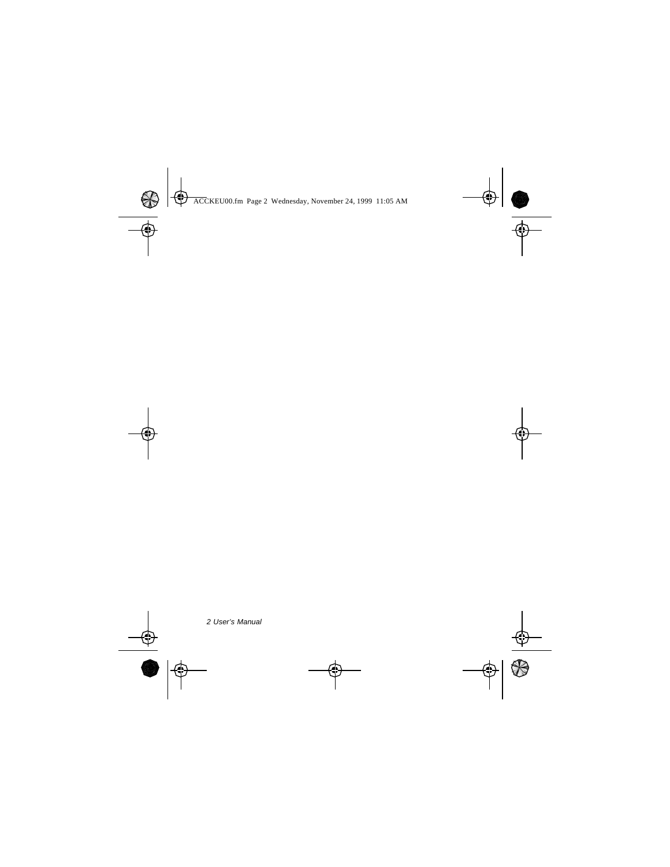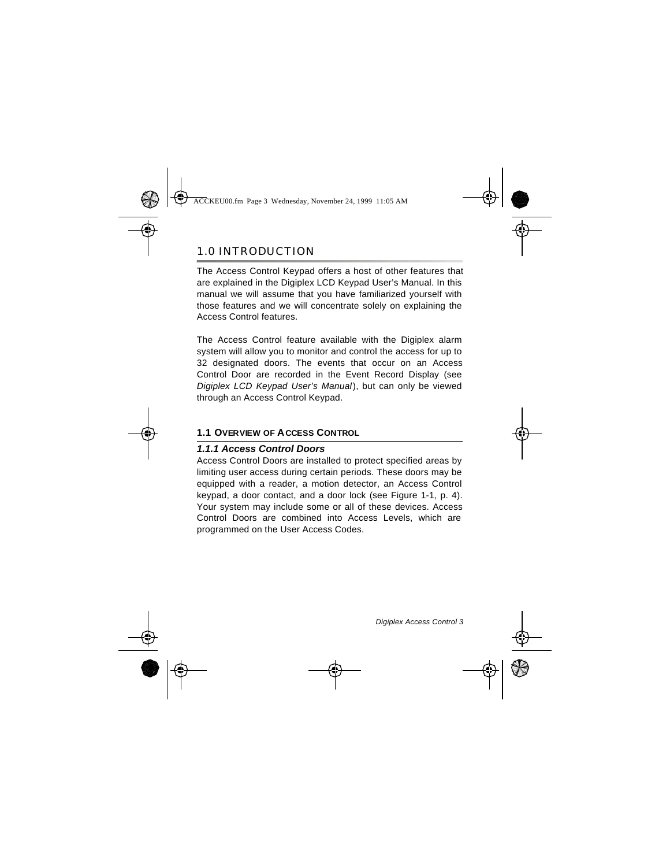ACCKEU00.fm Page 3 Wednesday, November 24, 1999 11:05 AM

# 1.0 INTRODUCTION

The Access Control Keypad offers a host of other features that are explained in the Digiplex LCD Keypad User's Manual. In this manual we will assume that you have familiarized yourself with those features and we will concentrate solely on explaining the Access Control features.

The Access Control feature available with the Digiplex alarm system will allow you to monitor and control the access for up to 32 designated doors. The events that occur on an Access Control Door are recorded in the Event Record Display (see *Digiplex LCD Keypad User's Manual*), but can only be viewed through an Access Control Keypad.

## **1.1 OVERVIEW OF ACCESS CONTROL**

## *1.1.1 Access Control Doors*

Access Control Doors are installed to protect specified areas by limiting user access during certain periods. These doors may be equipped with a reader, a motion detector, an Access Control keypad, a door contact, and a door lock (see Figure 1-1, p. 4). Your system may include some or all of these devices. Access Control Doors are combined into Access Levels, which are programmed on the User Access Codes.

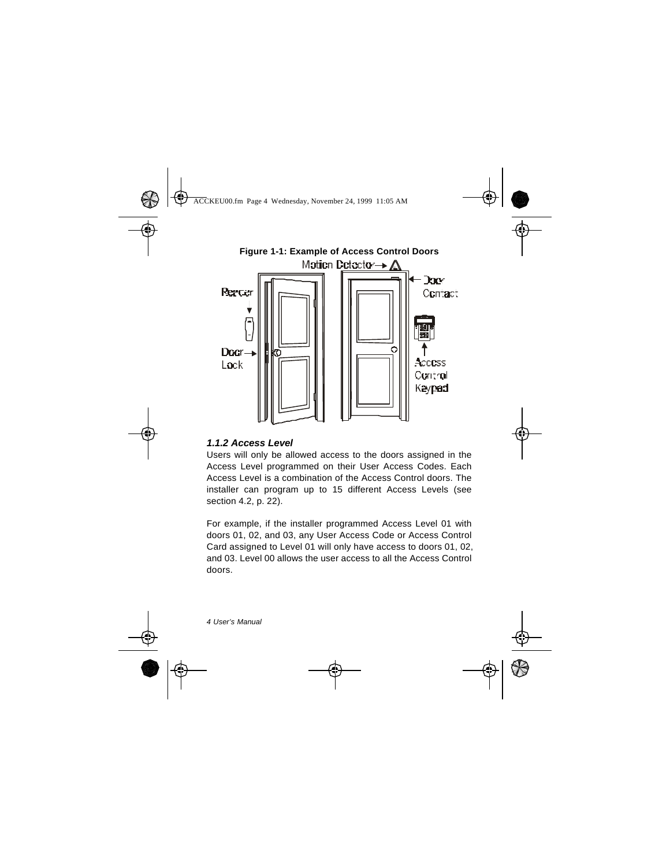

Users will only be allowed access to the doors assigned in the Access Level programmed on their User Access Codes. Each Access Level is a combination of the Access Control doors. The installer can program up to 15 different Access Levels (see section 4.2, p. 22).

For example, if the installer programmed Access Level 01 with doors 01, 02, and 03, any User Access Code or Access Control Card assigned to Level 01 will only have access to doors 01, 02, and 03. Level 00 allows the user access to all the Access Control doors.

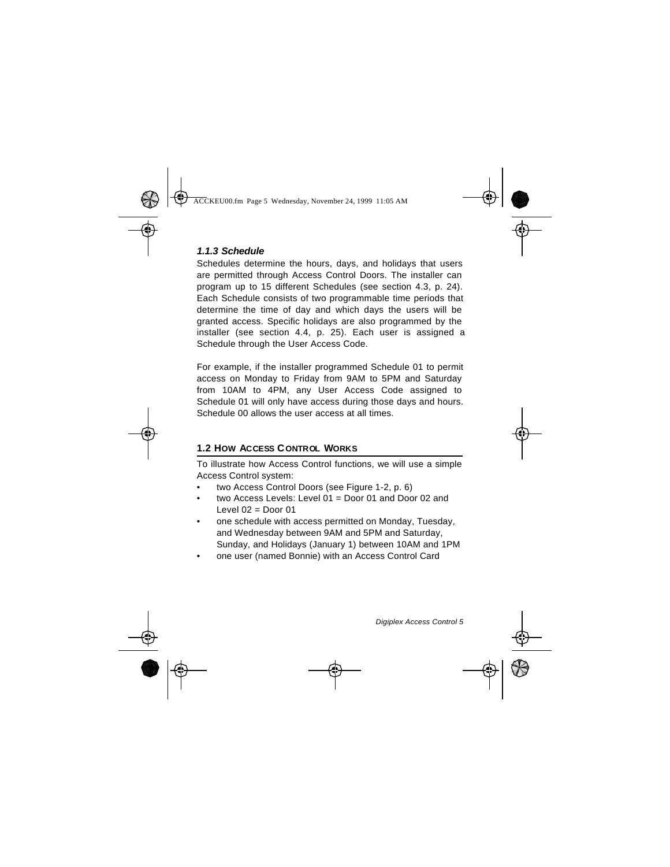ACCKEU00.fm Page 5 Wednesday, November 24, 1999 11:05 AM

## *1.1.3 Schedule*

Schedules determine the hours, days, and holidays that users are permitted through Access Control Doors. The installer can program up to 15 different Schedules (see section 4.3, p. 24). Each Schedule consists of two programmable time periods that determine the time of day and which days the users will be granted access. Specific holidays are also programmed by the installer (see section 4.4, p. 25). Each user is assigned a Schedule through the User Access Code.

For example, if the installer programmed Schedule 01 to permit access on Monday to Friday from 9AM to 5PM and Saturday from 10AM to 4PM, any User Access Code assigned to Schedule 01 will only have access during those days and hours. Schedule 00 allows the user access at all times.

## **1.2 HOW ACCESS CONTROL WORKS**

To illustrate how Access Control functions, we will use a simple Access Control system:

- two Access Control Doors (see Figure 1-2, p. 6)
- two Access Levels: Level 01 = Door 01 and Door 02 and Level  $02 =$  Door 01
- one schedule with access permitted on Monday, Tuesday, and Wednesday between 9AM and 5PM and Saturday, Sunday, and Holidays (January 1) between 10AM and 1PM
- one user (named Bonnie) with an Access Control Card



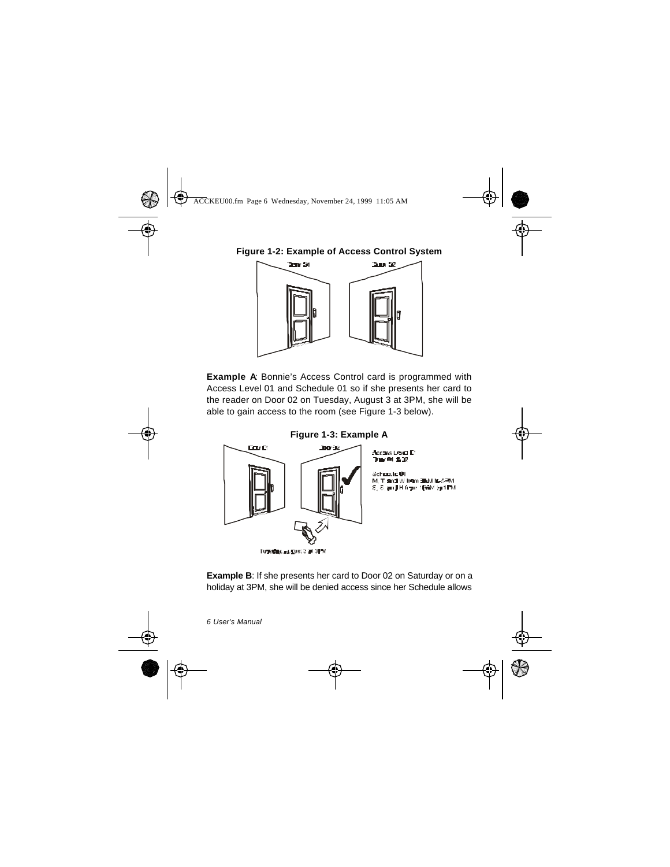

**Example B**: If she presents her card to Door 02 on Saturday or on a holiday at 3PM, she will be denied access since her Schedule allows

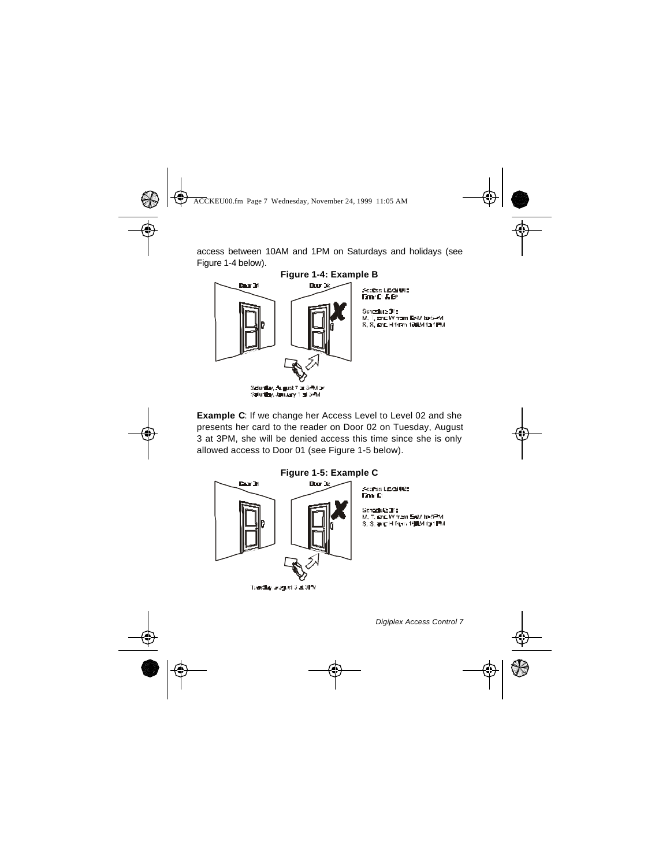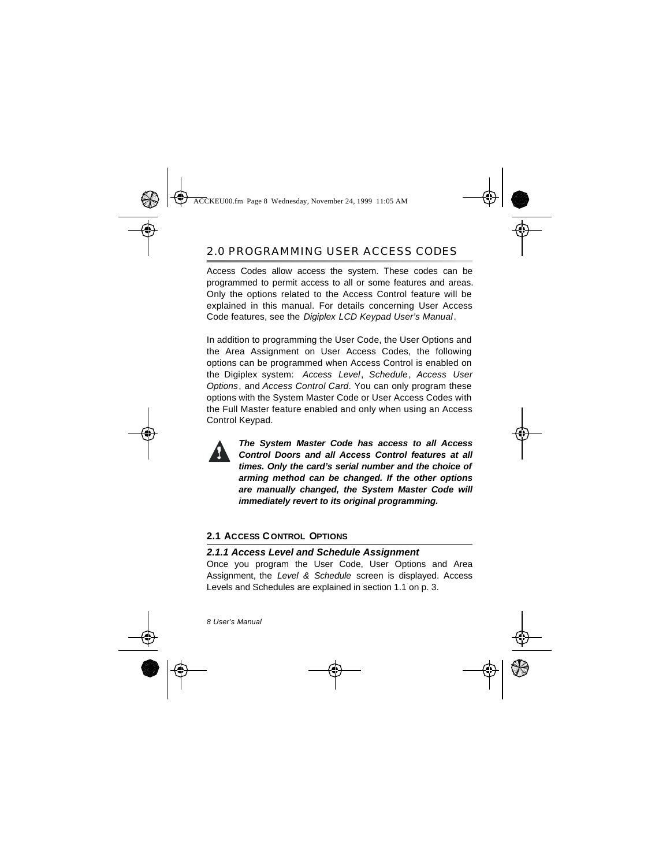



## 2.0 PROGRAMMING USER ACCESS CODES

Access Codes allow access the system. These codes can be programmed to permit access to all or some features and areas. Only the options related to the Access Control feature will be explained in this manual. For details concerning User Access Code features, see the *Digiplex LCD Keypad User's Manual*.

In addition to programming the User Code, the User Options and the Area Assignment on User Access Codes, the following options can be programmed when Access Control is enabled on the Digiplex system: *Access Level*, *Schedule*, *Access User Options*, and *Access Control Card*. You can only program these options with the System Master Code or User Access Codes with the Full Master feature enabled and only when using an Access Control Keypad.



*The System Master Code has access to all Access Control Doors and all Access Control features at all times. Only the card's serial number and the choice of arming method can be changed. If the other options are manually changed, the System Master Code will immediately revert to its original programming.* 

# **2.1 ACCESS CONTROL OPTIONS**

## *2.1.1 Access Level and Schedule Assignment*

Once you program the User Code, User Options and Area Assignment, the *Level & Schedule* screen is displayed. Access Levels and Schedules are explained in section 1.1 on p. 3.



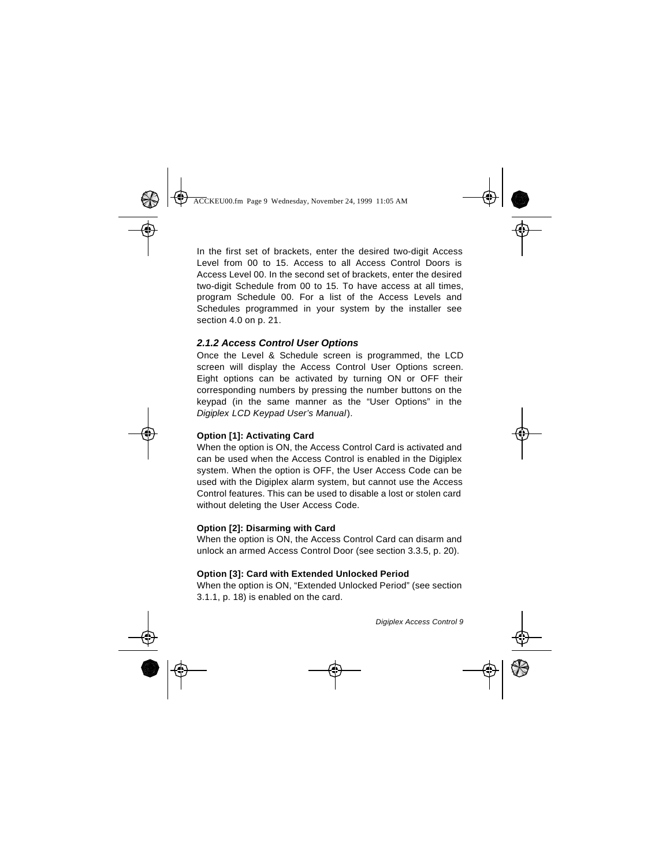ACCKEU00.fm Page 9 Wednesday, November 24, 1999 11:05 AM



In the first set of brackets, enter the desired two-digit Access Level from 00 to 15. Access to all Access Control Doors is Access Level 00. In the second set of brackets, enter the desired two-digit Schedule from 00 to 15. To have access at all times, program Schedule 00. For a list of the Access Levels and Schedules programmed in your system by the installer see section 4.0 on p. 21.

## *2.1.2 Access Control User Options*

Once the Level & Schedule screen is programmed, the LCD screen will display the Access Control User Options screen. Eight options can be activated by turning ON or OFF their corresponding numbers by pressing the number buttons on the keypad (in the same manner as the "User Options" in the *Digiplex LCD Keypad User's Manual*).

#### **Option [1]: Activating Card**

When the option is ON, the Access Control Card is activated and can be used when the Access Control is enabled in the Digiplex system. When the option is OFF, the User Access Code can be used with the Digiplex alarm system, but cannot use the Access Control features. This can be used to disable a lost or stolen card without deleting the User Access Code.

#### **Option [2]: Disarming with Card**

When the option is ON, the Access Control Card can disarm and unlock an armed Access Control Door (see section 3.3.5, p. 20).

#### **Option [3]: Card with Extended Unlocked Period**

When the option is ON, "Extended Unlocked Period" (see section 3.1.1, p. 18) is enabled on the card.



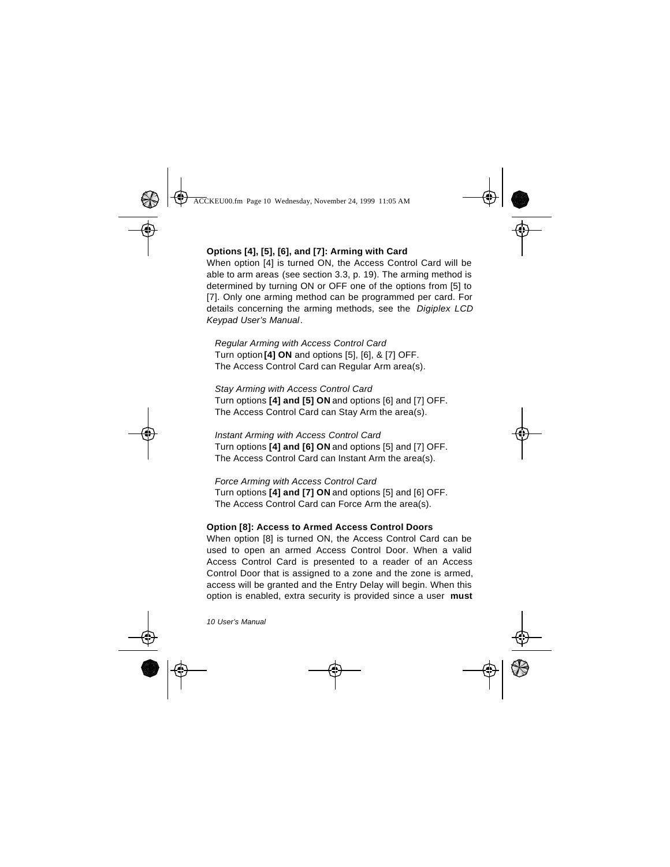ACCKEU00.fm Page 10 Wednesday, November 24, 1999 11:05 AM

# **Options [4], [5], [6], and [7]: Arming with Card**

When option [4] is turned ON, the Access Control Card will be able to arm areas (see section 3.3, p. 19). The arming method is determined by turning ON or OFF one of the options from [5] to [7]. Only one arming method can be programmed per card. For details concerning the arming methods, see the *Digiplex LCD Keypad User's Manual*.

*Regular Arming with Access Control Card* Turn option **[4] ON** and options [5], [6], & [7] OFF. The Access Control Card can Regular Arm area(s).

*Stay Arming with Access Control Card* Turn options **[4] and [5] ON** and options [6] and [7] OFF. The Access Control Card can Stay Arm the area(s).

*Instant Arming with Access Control Card* Turn options **[4] and [6] ON** and options [5] and [7] OFF. The Access Control Card can Instant Arm the area(s).

*Force Arming with Access Control Card* Turn options **[4] and [7] ON** and options [5] and [6] OFF. The Access Control Card can Force Arm the area(s).

#### **Option [8]: Access to Armed Access Control Doors**

When option [8] is turned ON, the Access Control Card can be used to open an armed Access Control Door. When a valid Access Control Card is presented to a reader of an Access Control Door that is assigned to a zone and the zone is armed, access will be granted and the Entry Delay will begin. When this option is enabled, extra security is provided since a user **must**



*10 User's Manual*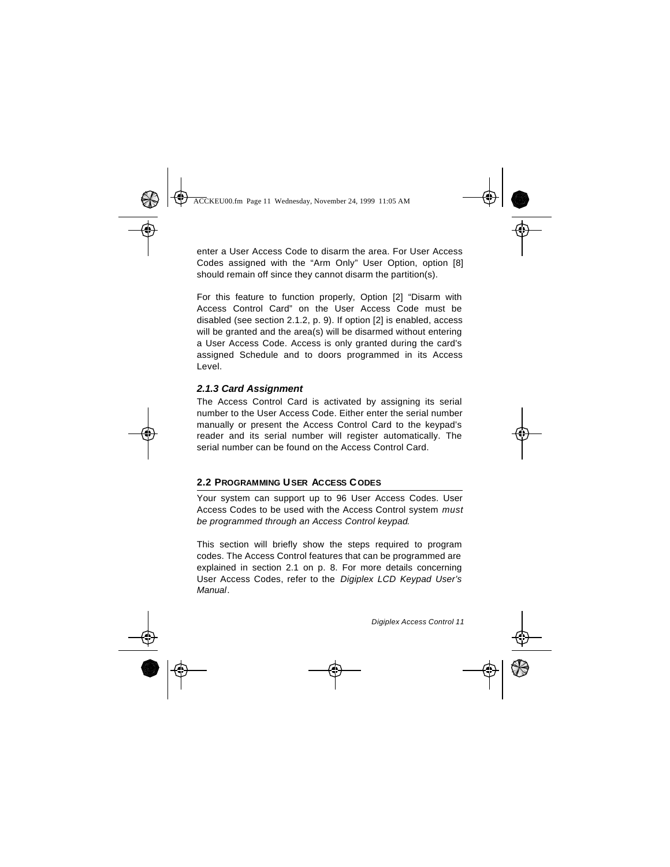ACCKEU00.fm Page 11 Wednesday, November 24, 1999 11:05 AM

enter a User Access Code to disarm the area. For User Access Codes assigned with the "Arm Only" User Option, option [8] should remain off since they cannot disarm the partition(s).

For this feature to function properly, Option [2] "Disarm with Access Control Card" on the User Access Code must be disabled (see section 2.1.2, p. 9). If option [2] is enabled, access will be granted and the area(s) will be disarmed without entering a User Access Code. Access is only granted during the card's assigned Schedule and to doors programmed in its Access Level.

#### *2.1.3 Card Assignment*

The Access Control Card is activated by assigning its serial number to the User Access Code. Either enter the serial number manually or present the Access Control Card to the keypad's reader and its serial number will register automatically. The serial number can be found on the Access Control Card.

## **2.2 PROGRAMMING USER ACCESS CODES**

Your system can support up to 96 User Access Codes. User Access Codes to be used with the Access Control system *must be programmed through an Access Control keypad*.

This section will briefly show the steps required to program codes. The Access Control features that can be programmed are explained in section 2.1 on p. 8. For more details concerning User Access Codes, refer to the *Digiplex LCD Keypad User's Manual*.

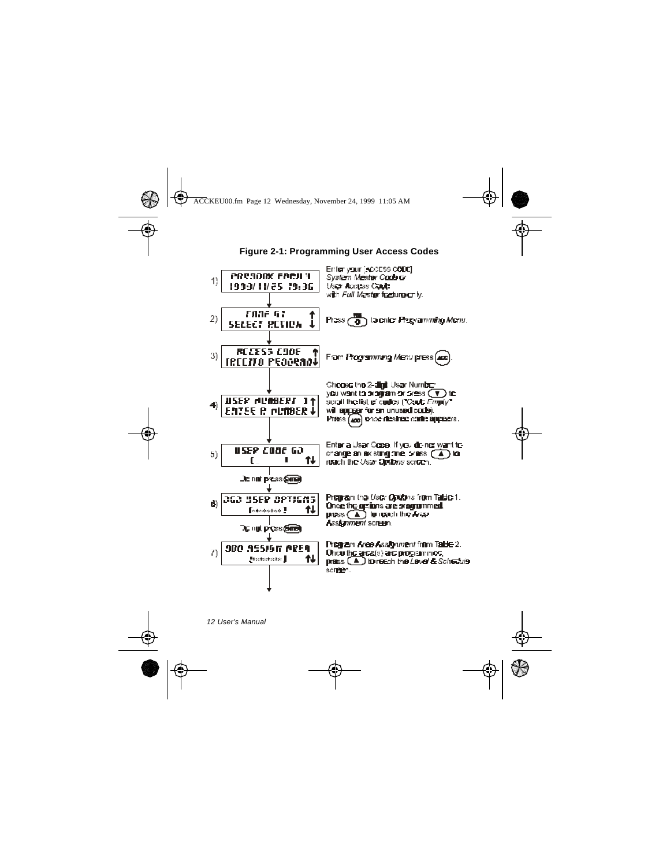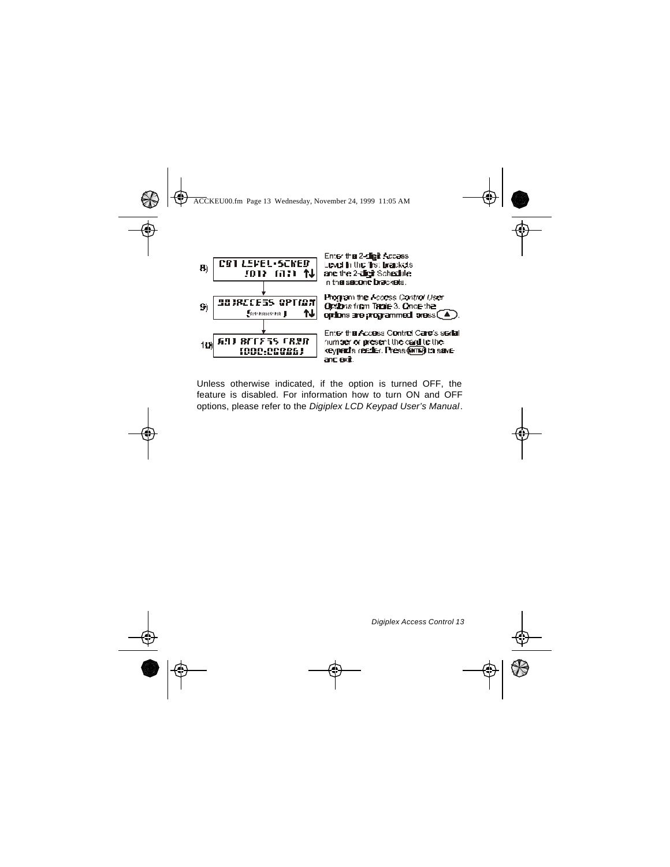

Unless otherwise indicated, if the option is turned OFF, the feature is disabled. For information how to turn ON and OFF options, please refer to the *Digiplex LCD Keypad User's Manual*.

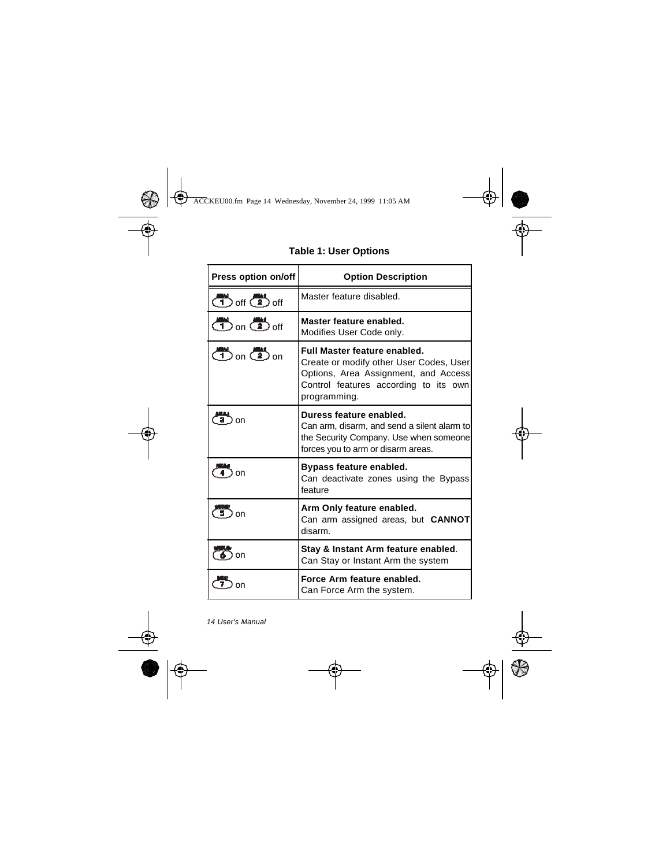ACCKEU00.fm Page 14 Wednesday, November 24, 1999 11:05 AM

| Press option on/off                  | <b>Option Description</b>                                                                                                                                                       |
|--------------------------------------|---------------------------------------------------------------------------------------------------------------------------------------------------------------------------------|
| <b>D</b> off 2 off                   | Master feature disabled.                                                                                                                                                        |
| $\binom{m}{1}$ on $\binom{m}{2}$ off | Master feature enabled.<br>Modifies User Code only.                                                                                                                             |
| $\binom{m}{1}$ on $\binom{m}{2}$ on  | <b>Full Master feature enabled.</b><br>Create or modify other User Codes, User<br>Options, Area Assignment, and Access<br>Control features according to its own<br>programming. |
| on                                   | Duress feature enabled.<br>Can arm, disarm, and send a silent alarm to<br>the Security Company. Use when someone<br>forces you to arm or disarm areas.                          |
| on                                   | Bypass feature enabled.<br>Can deactivate zones using the Bypass<br>feature                                                                                                     |
| ner<br>S<br>on                       | Arm Only feature enabled.<br>Can arm assigned areas, but <b>CANNOT</b><br>disarm.                                                                                               |
| <b>ී</b> ග                           | Stay & Instant Arm feature enabled.<br>Can Stay or Instant Arm the system                                                                                                       |
| <sub>on</sub>                        | Force Arm feature enabled.<br>Can Force Arm the system.                                                                                                                         |

# **Table 1: User Options**

C

 $\bigcirc\hspace{-1.45pt}\bigcirc$ 



 $\overline{\bigcirc}$ 

 $\bigcirc$ 

 $\overline{\bigoplus}$ 

*14 User's Manual*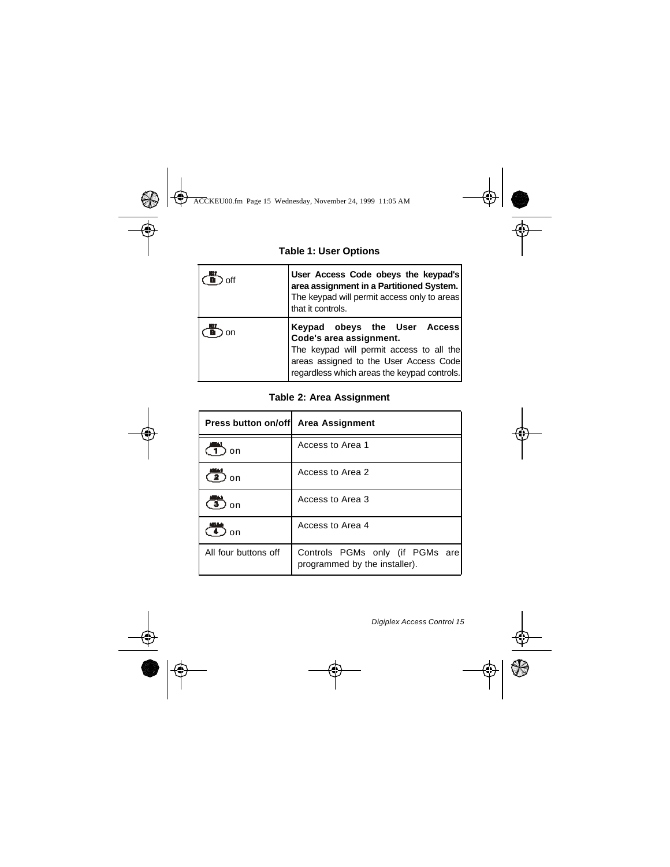ACCKEU00.fm Page 15 Wednesday, November 24, 1999 11:05 AM

# **Table 1: User Options**

| User Access Code obeys the keypad's<br>area assignment in a Partitioned System.<br>The keypad will permit access only to areas<br>that it controls.                                          |
|----------------------------------------------------------------------------------------------------------------------------------------------------------------------------------------------|
| Keypad obeys the User Access<br>Code's area assignment.<br>The keypad will permit access to all the<br>areas assigned to the User Access Code<br>regardless which areas the keypad controls. |

# **Table 2: Area Assignment**

 $\overline{1}$ 

 $\bigoplus$ 

| Press button on/off Area Assignment |                                                                  |
|-------------------------------------|------------------------------------------------------------------|
| ) on                                | Access to Area 1                                                 |
| $\binom{30}{2}$ on                  | Access to Area 2                                                 |
| $\binom{10}{3}$ on                  | Access to Area 3                                                 |
| on                                  | Access to Area 4                                                 |
| All four buttons off                | Controls PGMs only (if PGMs are<br>programmed by the installer). |

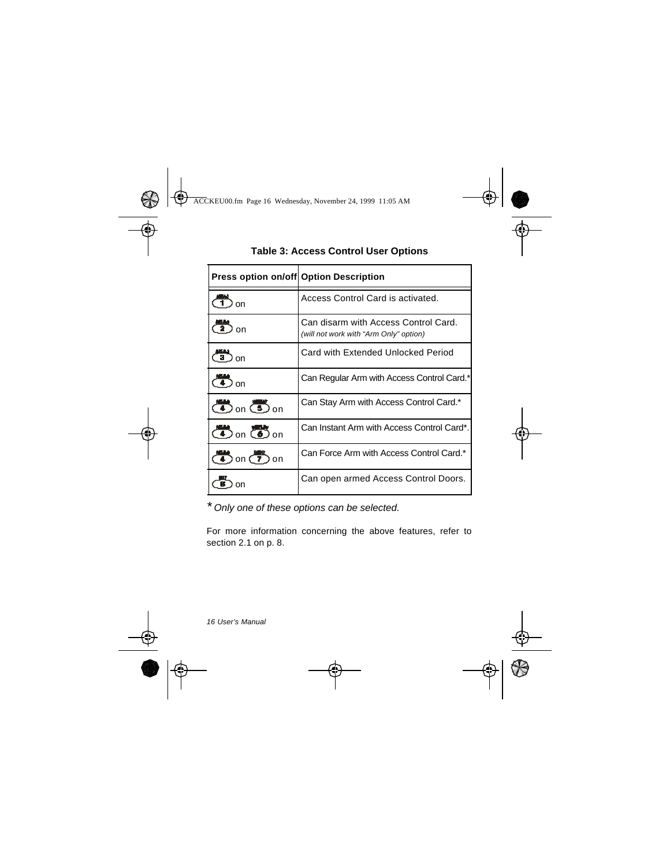ACCKEU00.fm Page 16 Wednesday, November 24, 1999 11:05 AM

| Press option on/off Option Description  |                                                                                |
|-----------------------------------------|--------------------------------------------------------------------------------|
| $\binom{m}{1}$ on                       | Access Control Card is activated.                                              |
| $\binom{364}{2}$ on                     | Can disarm with Access Control Card.<br>(will not work with "Arm Only" option) |
| $\binom{m}{2}$ on                       | Card with Extended Unlocked Period                                             |
| $\binom{10}{4}$ on                      | Can Regular Arm with Access Control Card.*                                     |
| $\bigoplus$ on $\bigoplus$ on           | Can Stay Arm with Access Control Card.*                                        |
| $\ddot{\bullet}$ on $\ddot{\bullet}$ on | Can Instant Arm with Access Control Card*.                                     |
| $\binom{m}{4}$ on $\binom{m}{7}$ on     | Can Force Arm with Access Control Card.*                                       |
| (CBI) on                                | Can open armed Access Control Doors.                                           |

# **Table 3: Access Control User Options**

*\* Only one of these options can be selected.*

For more information concerning the above features, refer to section 2.1 on p. 8.

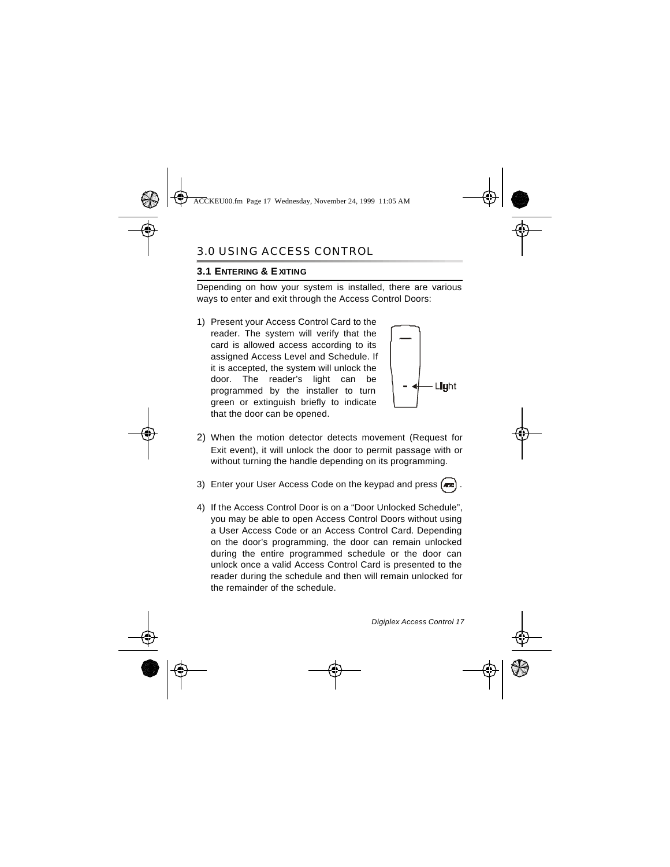

# 3.0 USING ACCESS CONTROL

## **3.1 ENTERING & EXITING**

Depending on how your system is installed, there are various ways to enter and exit through the Access Control Doors:

1) Present your Access Control Card to the reader. The system will verify that the card is allowed access according to its assigned Access Level and Schedule. If it is accepted, the system will unlock the door. The reader's light can be programmed by the installer to turn green or extinguish briefly to indicate that the door can be opened.



- 2) When the motion detector detects movement (Request for Exit event), it will unlock the door to permit passage with or without turning the handle depending on its programming.
- 3) Enter your User Access Code on the keypad and press  $(\text{arc})$ .
- 4) If the Access Control Door is on a "Door Unlocked Schedule", you may be able to open Access Control Doors without using a User Access Code or an Access Control Card. Depending on the door's programming, the door can remain unlocked during the entire programmed schedule or the door can unlock once a valid Access Control Card is presented to the reader during the schedule and then will remain unlocked for the remainder of the schedule.

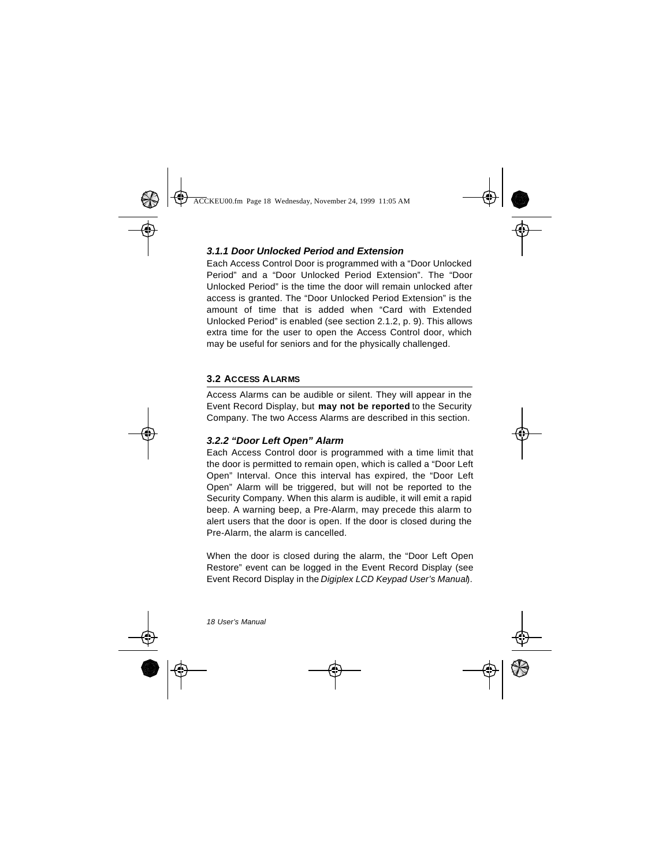ACCKEU00.fm Page 18 Wednesday, November 24, 1999 11:05 AM

# *3.1.1 Door Unlocked Period and Extension*

Each Access Control Door is programmed with a "Door Unlocked Period" and a "Door Unlocked Period Extension". The "Door Unlocked Period" is the time the door will remain unlocked after access is granted. The "Door Unlocked Period Extension" is the amount of time that is added when "Card with Extended Unlocked Period" is enabled (see section 2.1.2, p. 9). This allows extra time for the user to open the Access Control door, which may be useful for seniors and for the physically challenged.

# **3.2 ACCESS ALARMS**

Access Alarms can be audible or silent. They will appear in the Event Record Display, but **may not be reported** to the Security Company. The two Access Alarms are described in this section.

## *3.2.2 "Door Left Open" Alarm*

Each Access Control door is programmed with a time limit that the door is permitted to remain open, which is called a "Door Left Open" Interval. Once this interval has expired, the "Door Left Open" Alarm will be triggered, but will not be reported to the Security Company. When this alarm is audible, it will emit a rapid beep. A warning beep, a Pre-Alarm, may precede this alarm to alert users that the door is open. If the door is closed during the Pre-Alarm, the alarm is cancelled.

When the door is closed during the alarm, the "Door Left Open Restore" event can be logged in the Event Record Display (see Event Record Display in the *Digiplex LCD Keypad User's Manual*).





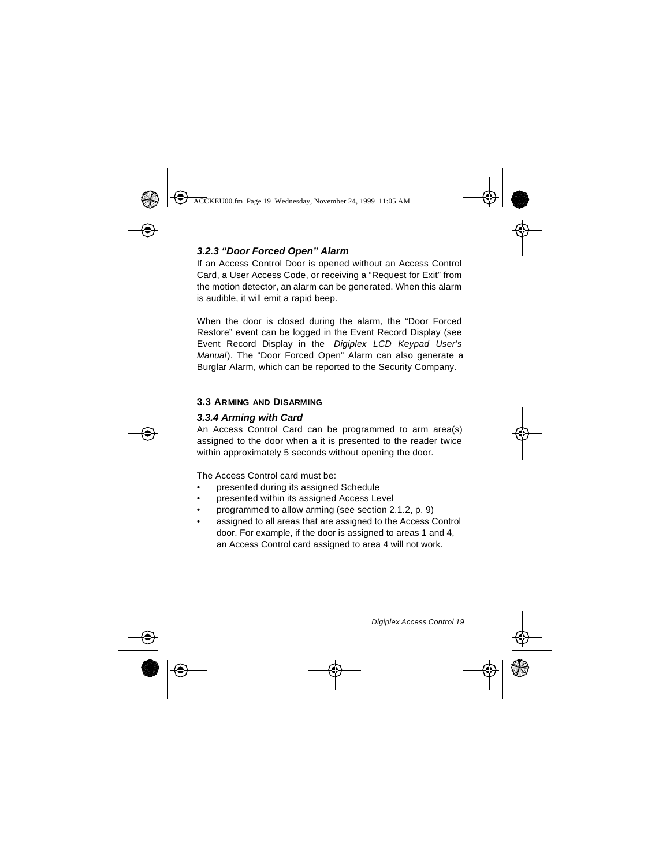ACCKEU00.fm Page 19 Wednesday, November 24, 1999 11:05 AM

# *3.2.3 "Door Forced Open" Alarm*

If an Access Control Door is opened without an Access Control Card, a User Access Code, or receiving a "Request for Exit" from the motion detector, an alarm can be generated. When this alarm is audible, it will emit a rapid beep.

When the door is closed during the alarm, the "Door Forced Restore" event can be logged in the Event Record Display (see Event Record Display in the *Digiplex LCD Keypad User's Manual*). The "Door Forced Open" Alarm can also generate a Burglar Alarm, which can be reported to the Security Company.

## **3.3 ARMING AND DISARMING**

## *3.3.4 Arming with Card*

An Access Control Card can be programmed to arm area(s) assigned to the door when a it is presented to the reader twice within approximately 5 seconds without opening the door.

The Access Control card must be:

- presented during its assigned Schedule
- presented within its assigned Access Level
- programmed to allow arming (see section 2.1.2, p. 9)
- assigned to all areas that are assigned to the Access Control door. For example, if the door is assigned to areas 1 and 4, an Access Control card assigned to area 4 will not work.

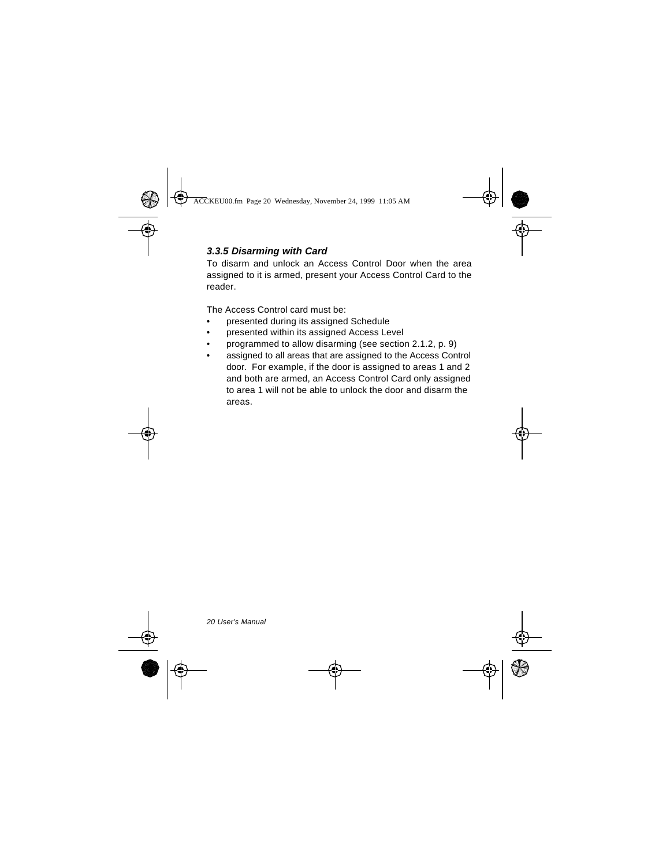ACCKEU00.fm Page 20 Wednesday, November 24, 1999 11:05 AM

# *3.3.5 Disarming with Card*

⊕

To disarm and unlock an Access Control Door when the area assigned to it is armed, present your Access Control Card to the reader.

The Access Control card must be:

- presented during its assigned Schedule
- presented within its assigned Access Level
- programmed to allow disarming (see section 2.1.2, p. 9)
- assigned to all areas that are assigned to the Access Control door. For example, if the door is assigned to areas 1 and 2 and both are armed, an Access Control Card only assigned to area 1 will not be able to unlock the door and disarm the areas.



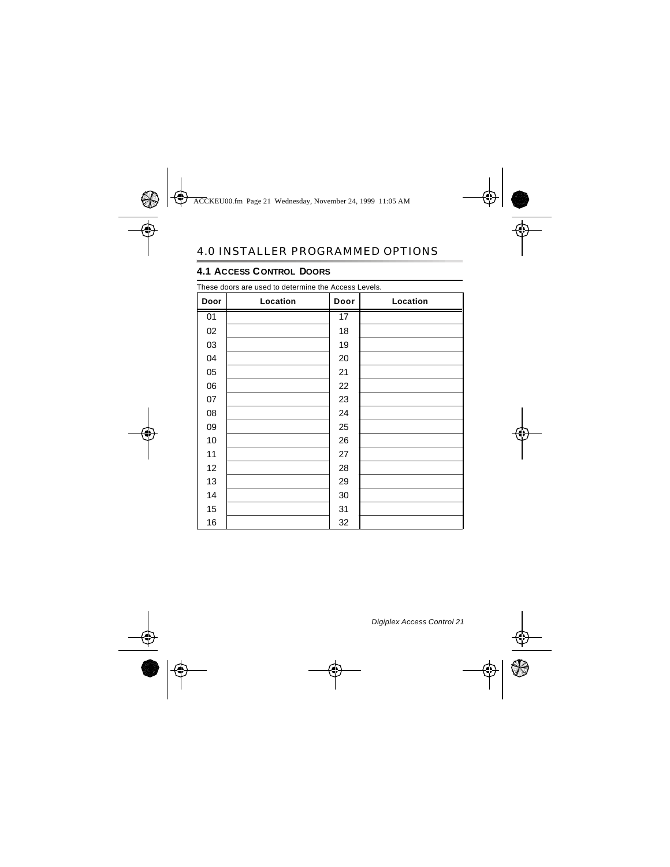ACCKEU00.fm Page 21 Wednesday, November 24, 1999 11:05 AM



# 4.0 INSTALLER PROGRAMMED OPTIONS

# **4.1 ACCESS CONTROL DOORS**

€

€

|      | These doors are used to determine the Access Levels. |      |          |
|------|------------------------------------------------------|------|----------|
| Door | Location                                             | Door | Location |
| 01   |                                                      | 17   |          |
| 02   |                                                      | 18   |          |
| 03   |                                                      | 19   |          |
| 04   |                                                      | 20   |          |
| 05   |                                                      | 21   |          |
| 06   |                                                      | 22   |          |
| 07   |                                                      | 23   |          |
| 08   |                                                      | 24   |          |
| 09   |                                                      | 25   |          |
| 10   |                                                      | 26   |          |
| 11   |                                                      | 27   |          |
| 12   |                                                      | 28   |          |
| 13   |                                                      | 29   |          |
| 14   |                                                      | 30   |          |
| 15   |                                                      | 31   |          |
| 16   |                                                      | 32   |          |

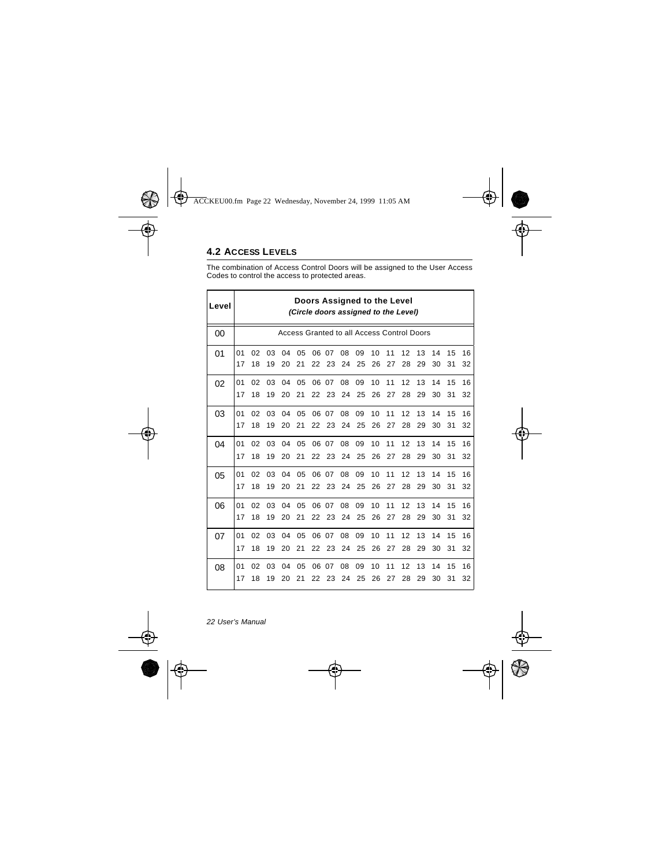ACCKEU00.fm Page 22 Wednesday, November 24, 1999 11:05 AM

# **4.2 ACCESS LEVELS**

The combination of Access Control Doors will be assigned to the User Access Codes to control the access to protected areas.

| Level | Doors Assigned to the Level<br>(Circle doors assigned to the Level) |          |          |          |                      |    |                |                   |                                            |          |          |          |          |          |          |          |
|-------|---------------------------------------------------------------------|----------|----------|----------|----------------------|----|----------------|-------------------|--------------------------------------------|----------|----------|----------|----------|----------|----------|----------|
| 00    |                                                                     |          |          |          |                      |    |                |                   | Access Granted to all Access Control Doors |          |          |          |          |          |          |          |
| 01    | 01<br>17                                                            | 02<br>18 | 03<br>19 | 04<br>20 | 05<br>21             |    | 06 07<br>22 23 | 08                | 09<br>24 25                                | 10<br>26 | 11<br>27 | 12<br>28 | 13<br>29 | 14<br>30 | 15<br>31 | 16<br>32 |
| 02    | 01<br>17                                                            | 02<br>18 | 03<br>19 | 04<br>20 | 05<br>21             | 22 | 06 07<br>23    | 08<br>24          | 09<br>- 25                                 | 10<br>26 | 11<br>27 | 12<br>28 | 13<br>29 | 14<br>30 | 15<br>31 | 16<br>32 |
| 03    | 01<br>17                                                            | 02<br>18 | 03<br>19 | 04<br>20 | 05<br>21             |    | 06 07          | 08<br>22 23 24 25 | 09                                         | 10<br>26 | 11<br>27 | 12<br>28 | 13<br>29 | 14<br>30 | 15<br>31 | 16<br>32 |
| 04    | 01<br>17                                                            | 02<br>18 | 03<br>19 | 04<br>20 | 0 <sub>5</sub><br>21 |    | 06 07          | 08<br>22 23 24 25 | 09                                         | 10<br>26 | 11<br>27 | 12<br>28 | 13<br>29 | 14<br>30 | 15<br>31 | 16<br>32 |
| 05    | 01<br>17                                                            | 02<br>18 | 03<br>19 | 04<br>20 | 05<br>21             |    | 06 07          | 08<br>22 23 24 25 | 09                                         | 10<br>26 | 11<br>27 | 12<br>28 | 13<br>29 | 14<br>30 | 15<br>31 | 16<br>32 |
| 06    | 01<br>17                                                            | 02<br>18 | 03<br>19 | 04<br>20 | 05<br>21             | 22 | 06 07<br>23    | 08<br>24          | 09<br>25                                   | 10<br>26 | 11<br>27 | 12<br>28 | 13<br>29 | 14<br>30 | 15<br>31 | 16<br>32 |
| 07    | 01<br>17                                                            | 02<br>18 | 03<br>19 | 04<br>20 | 05<br>21             | 22 | 06 07<br>23    | 08<br>24          | 09<br>25                                   | 10<br>26 | 11<br>27 | 12<br>28 | 13<br>29 | 14<br>30 | 15<br>31 | 16<br>32 |
| 08    | 01<br>17                                                            | 02<br>18 | 03<br>19 | 04<br>20 | 05<br>21             |    | 06 07          | 08<br>22 23 24 25 | 09                                         | 10<br>26 | 11<br>27 | 12<br>28 | 13<br>29 | 14<br>30 | 15<br>31 | 16<br>32 |



 $\bigcirc$ 

 $\overline{\textcircled{\tiny 1}}$ 

*22 User's Manual*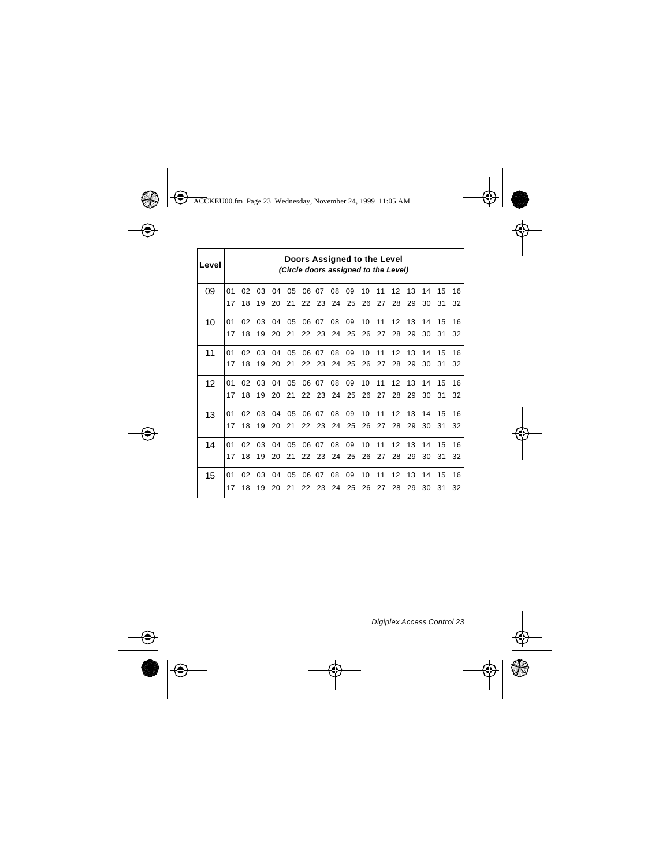| Level |    | Doors Assigned to the Level<br>(Circle doors assigned to the Level) |       |          |                |  |          |             |                |    |    |    |    |    |    |
|-------|----|---------------------------------------------------------------------|-------|----------|----------------|--|----------|-------------|----------------|----|----|----|----|----|----|
| 09    | 01 | 02                                                                  | 03    | 04       | 0 <sub>5</sub> |  |          | 06 07 08    | 09             | 10 | 11 | 12 | 13 | 14 | 15 |
|       | 17 | 18                                                                  |       | 19 20    | 21             |  |          | 22 23 24 25 |                | 26 | 27 | 28 | 29 | 30 | 31 |
| 10    | 01 | 02                                                                  | 03    |          | 04 05          |  | 06 07 08 |             | 09             | 10 | 11 | 12 | 13 | 14 | 15 |
|       | 17 | 18                                                                  | 19    | 20       | 21             |  |          | 22 23 24 25 |                | 26 | 27 | 28 | 29 | 30 | 31 |
| 11    | 01 | 02                                                                  | 03    | 04       | 0 <sub>5</sub> |  | 06 07    | 08          | 09             | 10 | 11 | 12 | 13 | 14 | 15 |
|       | 17 | 18                                                                  | 19    | 20       | 21             |  |          | 22 23 24    | 25             | 26 | 27 | 28 | 29 | 30 |    |
| 12    | 01 | 02                                                                  |       | 03 04 05 |                |  |          | 06 07 08    | 09             | 10 | 11 | 12 | 13 | 14 |    |
|       | 17 | 18                                                                  |       | 19 20    | 21             |  |          | 22 23 24 25 |                | 26 | 27 | 28 | 29 | 30 | 31 |
| 13    | 01 | 02                                                                  | 03    | 04       | 05             |  | 06 07    | 08          | 09             | 10 | 11 | 12 | 13 | 14 |    |
|       | 17 | 18                                                                  |       | 19 20    | 21             |  |          | 22 23 24 25 |                | 26 | 27 | 28 | 29 | 30 | 31 |
| 14    | 01 | 02                                                                  | 03    | 04       | 0 <sub>5</sub> |  | 06 07 08 |             | 09             | 10 | 11 | 12 | 13 | 14 | 15 |
|       | 17 | 18                                                                  | 19    | 20       | 21             |  |          | 22 23 24 25 |                | 26 | 27 | 28 | 29 | 30 | 31 |
| 15    | 01 | 02                                                                  | 03    | 04       | 05             |  | 06 07    | 08          | 09             | 10 | 11 | 12 | 13 | 14 |    |
|       | 17 | 18                                                                  | 19 20 |          | 21             |  |          |             | 22 23 24 25 26 |    | 27 | 28 | 29 | 30 |    |

Ç

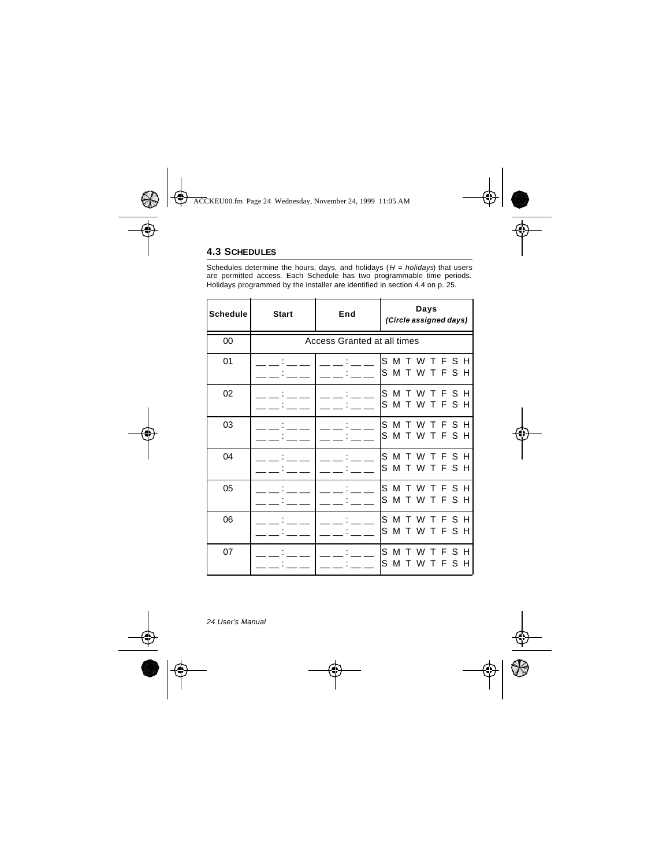$\bigoplus$ ACCKEU00.fm Page 24 Wednesday, November 24, 1999 11:05 AM

# **4.3 SCHEDULES**

Schedules determine the hours, days, and holidays (*H = holidays*) that users are permitted access. Each Schedule has two programmable time periods. Holidays programmed by the installer are identified in section 4.4 on p. 25.

| <b>Schedule</b> | <b>Start</b> |                             | Days<br>(Circle assigned days) |                        |                  |           |        |          |  |
|-----------------|--------------|-----------------------------|--------------------------------|------------------------|------------------|-----------|--------|----------|--|
| 00              |              | Access Granted at all times |                                |                        |                  |           |        |          |  |
| 01              |              |                             | S<br>S<br>м                    | MTWTFSH<br>W<br>$\top$ | $\sf T$          | -F        | S      | H        |  |
| 02              |              |                             | S<br>м<br>S                    | W<br>т<br>M T W        | т<br>T F         | F         | S      | sн<br>н  |  |
| 03              |              |                             | S<br>М<br>S<br>м               | W<br>т<br>т<br>W       | $\mathsf T$<br>т | F.<br>F   | S      | sн<br>H  |  |
| 04              |              |                             | S<br>м<br>S<br>м               | W<br>Т<br>W<br>Т       | т<br>$\sf T$     | F.        | FSH    | sн       |  |
| 05              |              |                             | S<br>м<br>М<br>S               | W<br>т<br>T<br>W       | т                | F<br>T F. | S<br>S | H<br>H   |  |
| 06              |              |                             | S<br>M<br>S<br>м               | W<br>т<br>W<br>Т       | т<br>T.          | -F<br>F   | S      | S H<br>H |  |
| 07              |              |                             | S<br>м<br>S<br>М               | w<br>w                 | T                | F<br>F    | S<br>S | н<br>н   |  |



 $\bigcirc$ 

€



€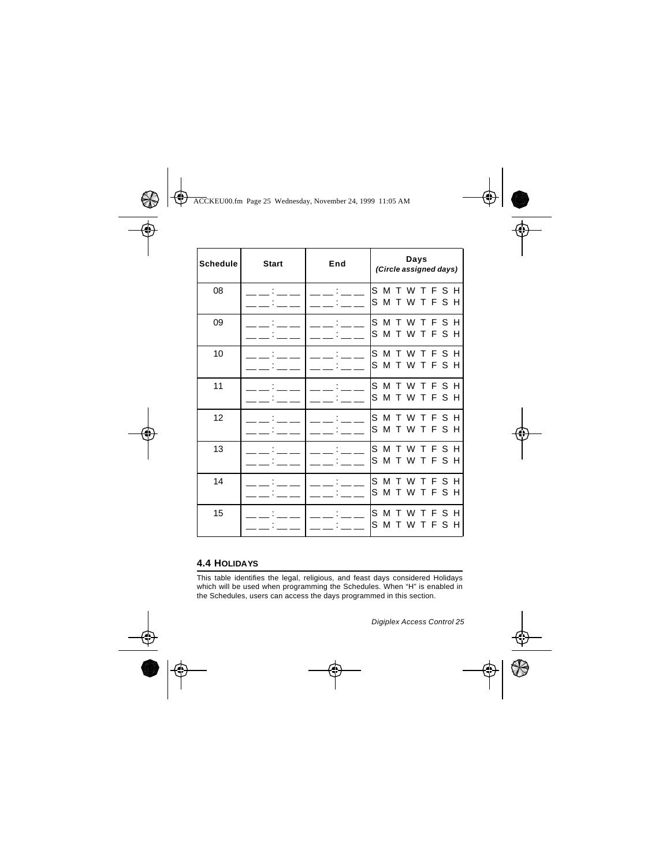$\bigoplus$ ACCKEU00.fm Page 25 Wednesday, November 24, 1999 11:05 AM

 $\hat{\odot}$ 

| <b>Schedule</b> | <b>Start</b> | End | Days<br>(Circle assigned days)                                                                   |
|-----------------|--------------|-----|--------------------------------------------------------------------------------------------------|
| 08              |              |     | S<br>M T<br>W<br>TFSH<br>М<br>S<br>W<br>$\top$<br>$\mathsf{T}$<br>FSH                            |
| 09              |              |     | S<br>M<br>W<br>S H<br>-F<br>т<br>$\top$<br>S<br>М<br>Т<br>W<br>FSH<br>$\top$                     |
| 10              |              |     | S<br>W<br>м<br>-F<br>S H<br>$\top$<br>$\top$<br>М<br>-F<br>S<br>$\top$<br>W<br>$\top$<br>-S<br>H |
| 11              |              |     | S<br>M T W<br>TFSH<br>S<br>M T W<br>TFSH                                                         |
| 12              |              |     | S<br>м<br>W<br>$\top$<br>-F<br>S H<br>т<br>S<br>MTWTFSH                                          |
| 13              |              |     | S<br>M T W<br>TFSH<br>S<br>M T W<br>TFSH                                                         |
| 14              |              |     | S<br>W<br>F S H<br>м<br>т<br>т<br>S<br>М<br>FSH<br>W<br>$\top$<br>Т                              |
| 15              |              |     | S<br>S<br>H<br>F<br>м<br>w<br>S<br>F<br>W<br>S<br>м<br>H<br>т<br>Τ                               |

# **4.4 HOLIDAYS**

 $|\oplus$ 

This table identifies the legal, religious, and feast days considered Holidays which will be used when programming the Schedules. When "H" is enabled in the Schedules, users can access the days programmed in this section.

*Digiplex Access Control 25*

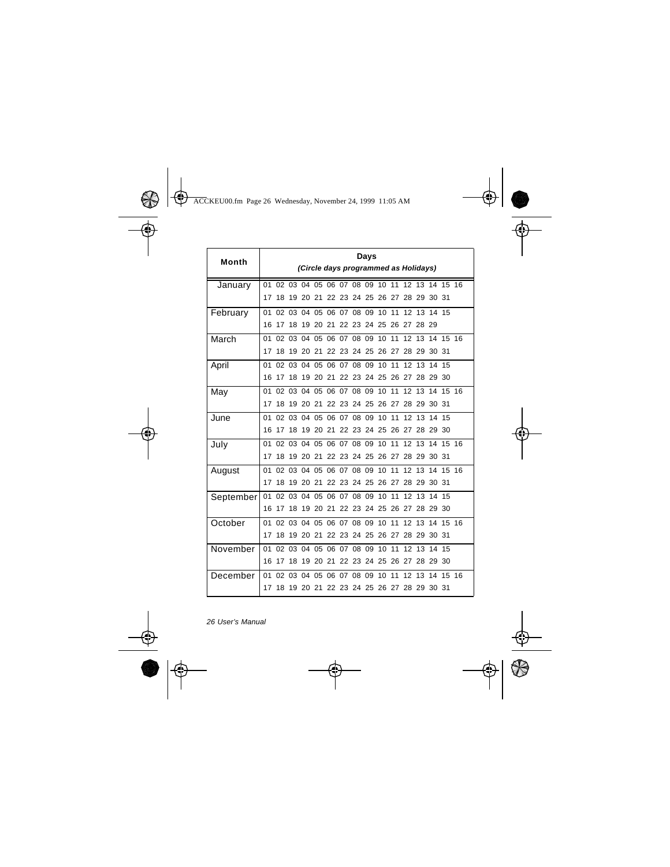ACCKEU00.fm Page 26 Wednesday, November 24, 1999 11:05 AM

C

 $\bigcirc\hspace{-1.45pt}\bigcirc$ 

| Month     |            |             | (Circle days programmed as Holidays)         |  |             | Days           |    |    |    |             |    |       |       |
|-----------|------------|-------------|----------------------------------------------|--|-------------|----------------|----|----|----|-------------|----|-------|-------|
|           |            |             |                                              |  |             |                |    |    |    |             |    |       |       |
| January   |            |             | 01 02 03 04 05 06 07 08 09 10 11 12 13 14    |  |             |                |    |    |    |             |    | 15 16 |       |
|           |            |             | 17 18 19 20 21 22 23 24 25 26 27 28 29 30 31 |  |             |                |    |    |    |             |    |       |       |
| February  | $^{\circ}$ |             | 02 03 04 05 06 07 08 09 10 11 12 13 14 15    |  |             |                |    |    |    |             |    |       |       |
|           |            |             | 16 17 18 19 20 21 22 23 24 25 26 27 28 29    |  |             |                |    |    |    |             |    |       |       |
| March     | $^{\circ}$ |             | 02 03 04 05 06 07 08 09 10 11                |  |             |                |    |    |    | 12 13 14    |    | 15 16 |       |
|           | 17         |             | 18 19 20 21 22 23 24 25 26 27 28 29 30 31    |  |             |                |    |    |    |             |    |       |       |
| April     | $^{\circ}$ |             | 02 03 04 05 06 07 08 09 10 11                |  |             |                |    |    |    | 12 13 14 15 |    |       |       |
|           |            |             | 16 17 18 19 20 21 22 23 24 25 26 27 28 29 30 |  |             |                |    |    |    |             |    |       |       |
| May       | 01         |             | 02 03 04 05 06 07 08 09 10 11                |  |             |                |    |    |    | 12 13 14    |    | 15 16 |       |
|           |            |             | 17 18 19 20 21 22 23 24 25 26 27 28 29 30 31 |  |             |                |    |    |    |             |    |       |       |
| June      | 01         | 02 03 04 05 |                                              |  |             | 06 07 08 09 10 |    | 11 |    | 12 13       | 14 | -15   |       |
|           | 16         |             | 17 18 19 20 21 22 23 24 25 26 27 28 29 30    |  |             |                |    |    |    |             |    |       |       |
| July      | 01         |             | 02 03 04 05 06 07 08 09 10 11 12 13 14       |  |             |                |    |    |    |             |    | 15 16 |       |
|           |            |             | 17 18 19 20 21 22 23 24 25 26 27 28 29 30 31 |  |             |                |    |    |    |             |    |       |       |
| August    | $^{\circ}$ |             | 02 03 04 05 06 07 08 09 10 11 12 13 14       |  |             |                |    |    |    |             |    | 15 16 |       |
|           | 17         |             | 18 19 20 21 22 23 24 25 26 27 28 29 30 31    |  |             |                |    |    |    |             |    |       |       |
| September | 01         |             | 02 03 04 05 06 07 08 09 10 11                |  |             |                |    |    |    | 12 13 14 15 |    |       |       |
|           |            |             | 16 17 18 19 20 21 22 23 24 25 26 27 28 29 30 |  |             |                |    |    |    |             |    |       |       |
| October   | $^{\circ}$ |             | 02 03 04 05 06 07 08 09 10 11                |  |             |                |    |    |    | 12 13 14    |    |       | 15 16 |
|           |            |             | 17 18 19 20 21 22 23 24 25 26 27 28 29 30 31 |  |             |                |    |    |    |             |    |       |       |
| November  | $^{\circ}$ | 02 03 04    | -05                                          |  | 06 07 08 09 |                | 10 | 11 | 12 | 13          | 14 | 1.5   |       |
|           | 16         |             | 17 18 19 20 21 22 23 24 25 26 27 28 29 30    |  |             |                |    |    |    |             |    |       |       |
| December  | 01         |             | 02 03 04 05 06 07 08 09 10 11                |  |             |                |    |    |    | 12 13 14    |    | 15    | 16    |
|           |            |             | 17 18 19 20 21 22 23 24 25 26 27 28 29 30 31 |  |             |                |    |    |    |             |    |       |       |



 $\overline{\bigoplus}$ 

*26 User's Manual*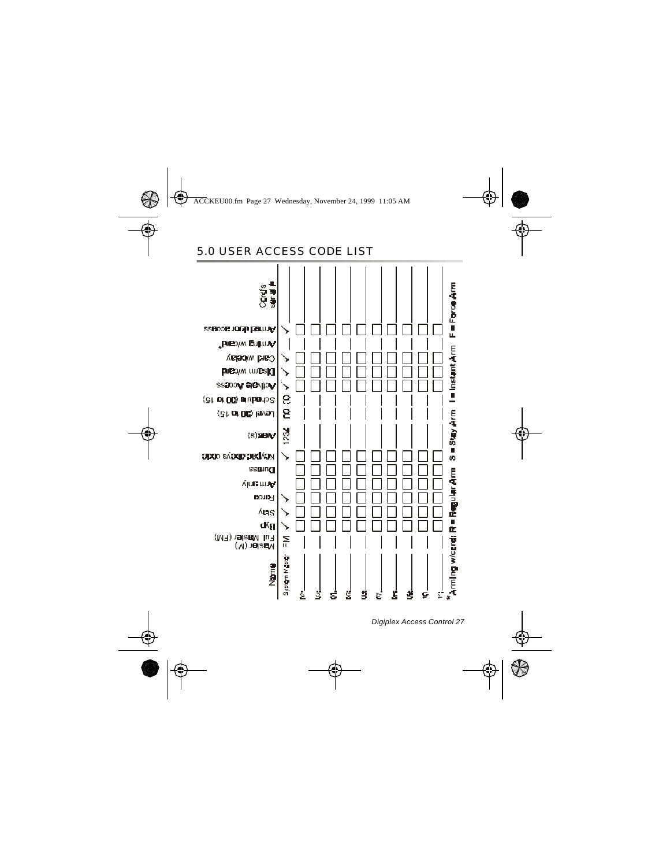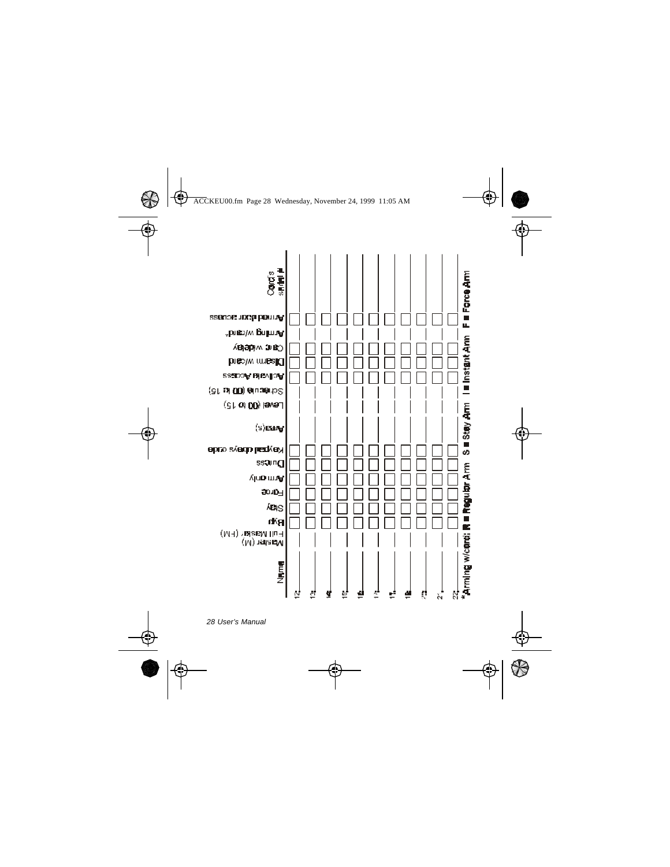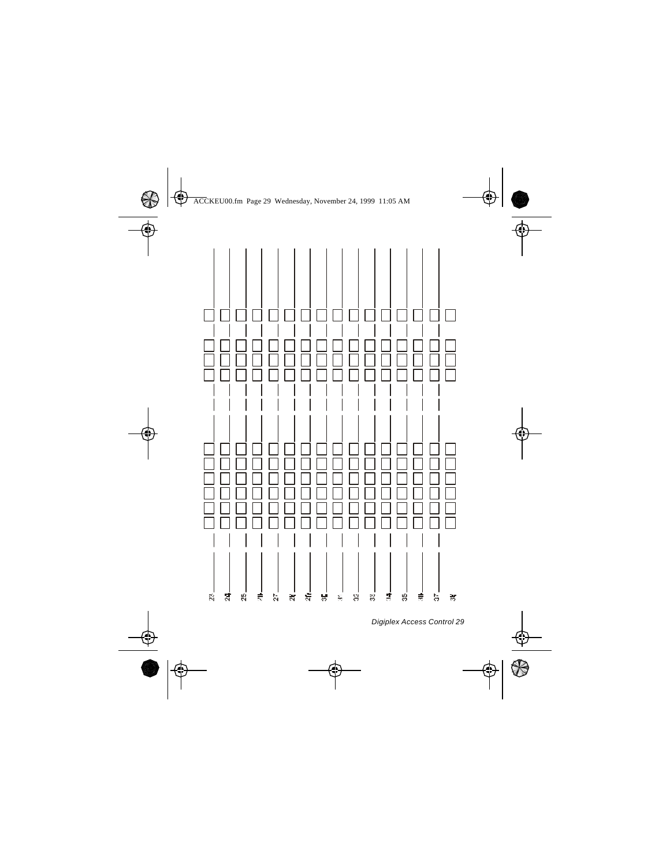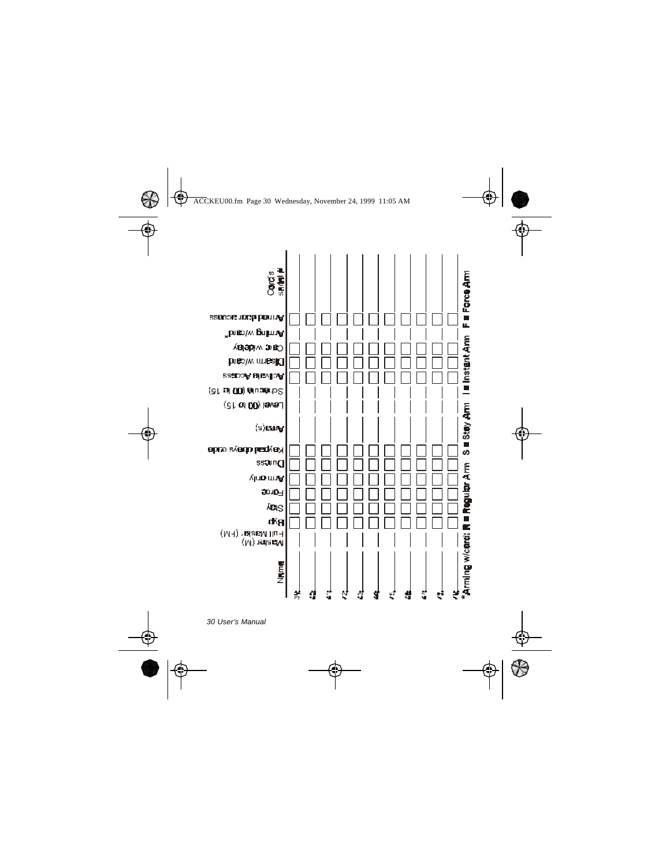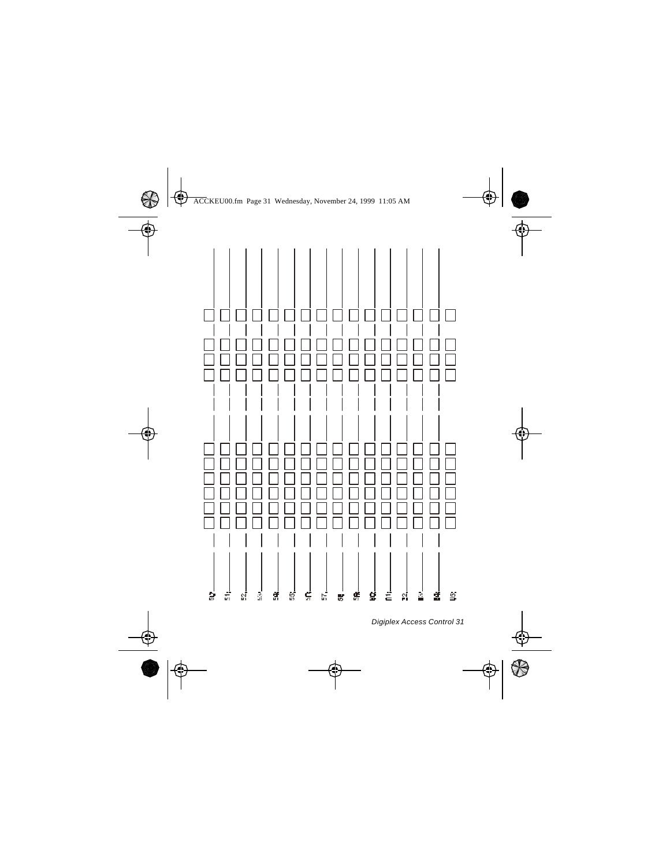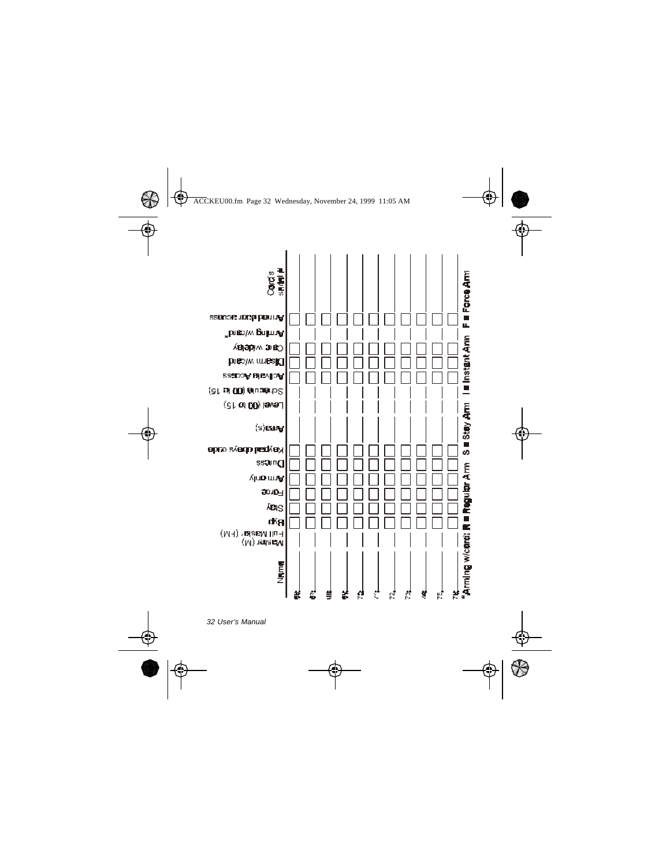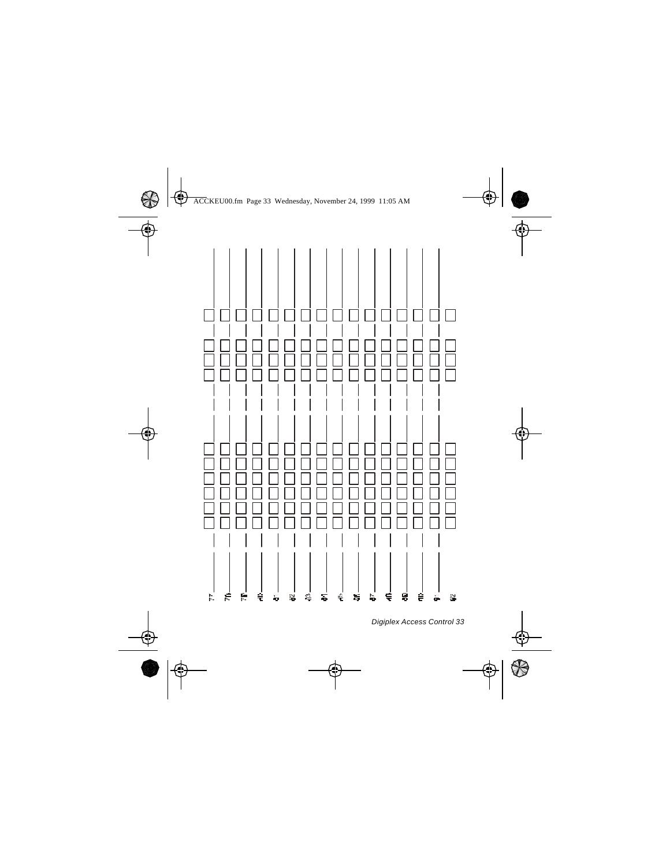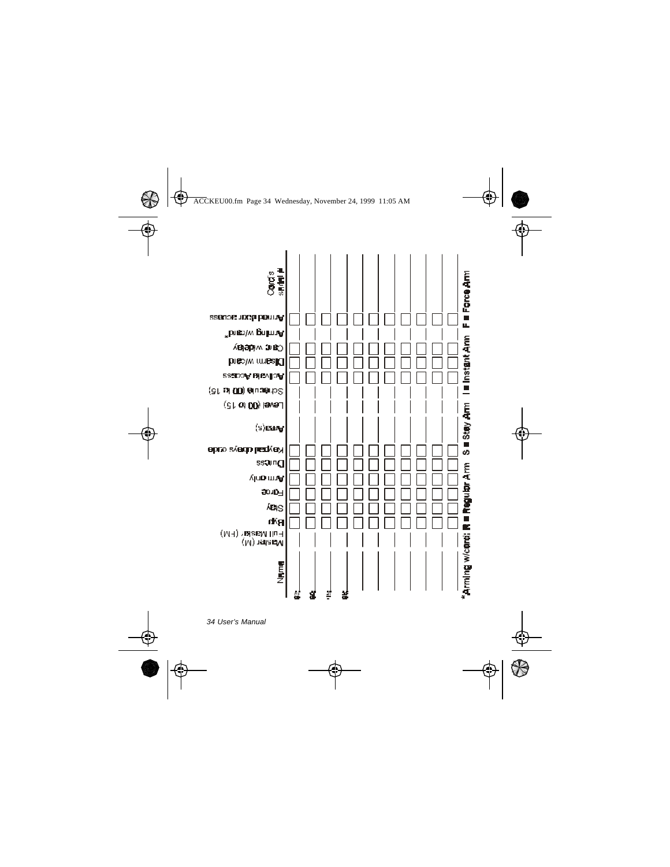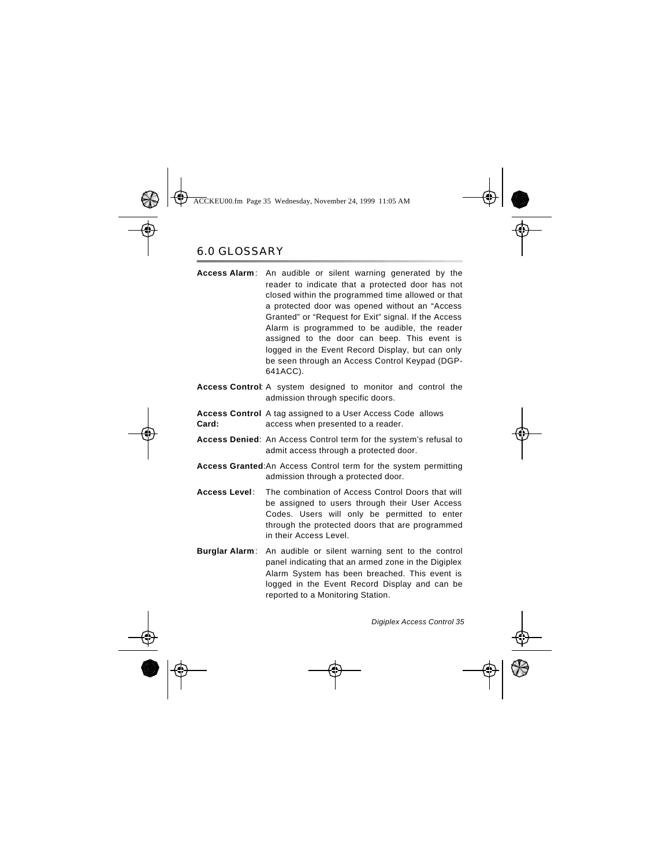ACCKEU00.fm Page 35 Wednesday, November 24, 1999 11:05 AM

## 6.0 GLOSSARY

- **Access Alarm**: An audible or silent warning generated by the reader to indicate that a protected door has not closed within the programmed time allowed or that a protected door was opened without an "Access Granted" or "Request for Exit" signal. If the Access Alarm is programmed to be audible, the reader assigned to the door can beep. This event is logged in the Event Record Display, but can only be seen through an Access Control Keypad (DGP-641ACC).
- **Access Control**: A system designed to monitor and control the admission through specific doors.
- **Access Control** A tag assigned to a User Access Code allows **Card:** access when presented to a reader.
- **Access Denied**: An Access Control term for the system's refusal to admit access through a protected door.
- **Access Granted**:An Access Control term for the system permitting admission through a protected door.
- **Access Level**: The combination of Access Control Doors that will be assigned to users through their User Access Codes. Users will only be permitted to enter through the protected doors that are programmed in their Access Level.
- **Burglar Alarm**: An audible or silent warning sent to the control panel indicating that an armed zone in the Digiplex Alarm System has been breached. This event is logged in the Event Record Display and can be reported to a Monitoring Station.

*Digiplex Access Control 35*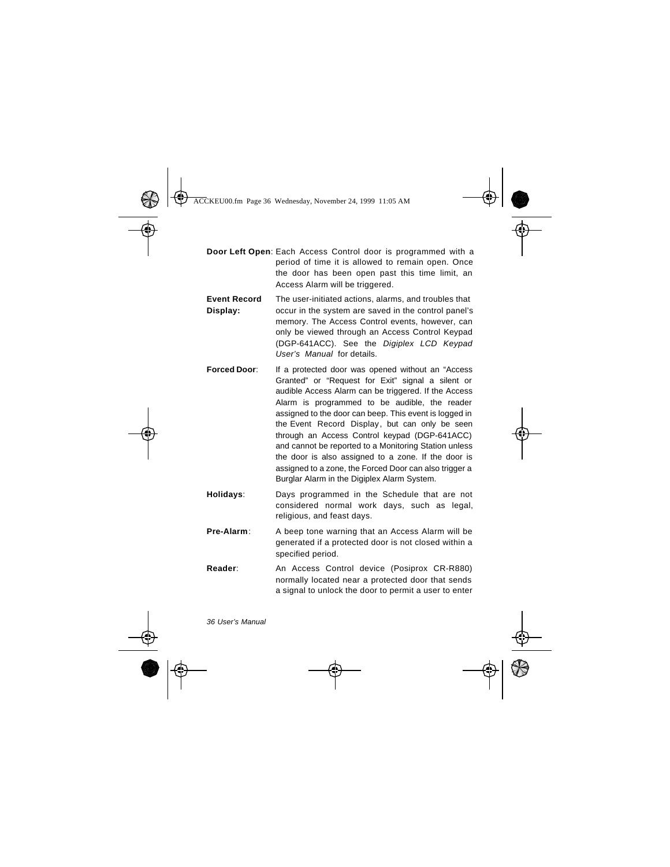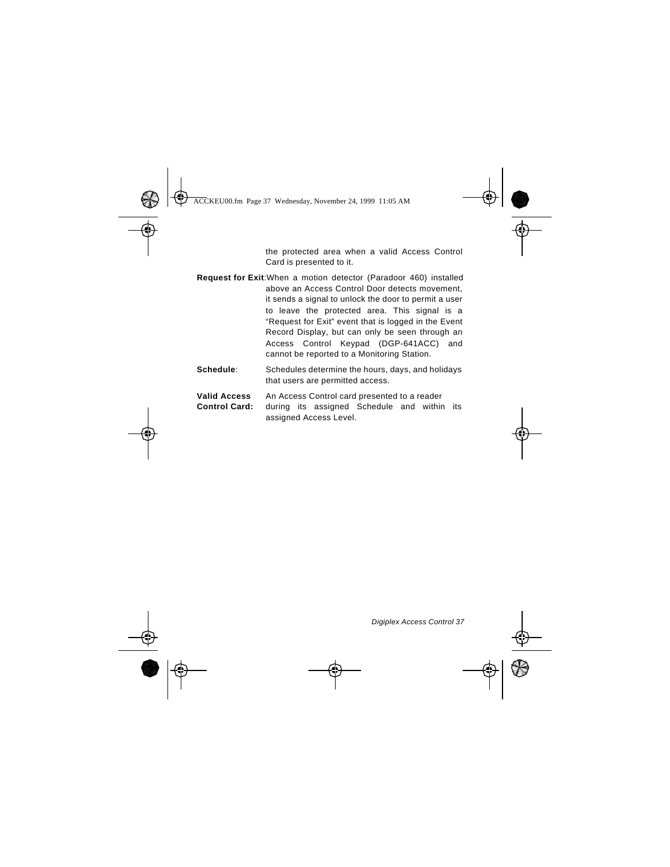

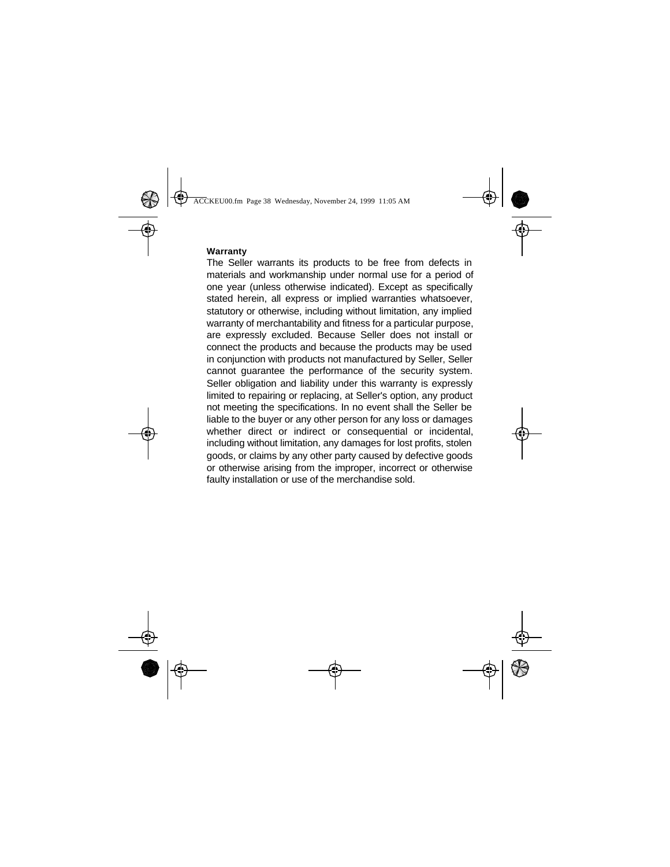ACCKEU00.fm Page 38 Wednesday, November 24, 1999 11:05 AM

## **Warranty**

The Seller warrants its products to be free from defects in materials and workmanship under normal use for a period of one year (unless otherwise indicated). Except as specifically stated herein, all express or implied warranties whatsoever, statutory or otherwise, including without limitation, any implied warranty of merchantability and fitness for a particular purpose, are expressly excluded. Because Seller does not install or connect the products and because the products may be used in conjunction with products not manufactured by Seller, Seller cannot guarantee the performance of the security system. Seller obligation and liability under this warranty is expressly limited to repairing or replacing, at Seller's option, any product not meeting the specifications. In no event shall the Seller be liable to the buyer or any other person for any loss or damages whether direct or indirect or consequential or incidental, including without limitation, any damages for lost profits, stolen goods, or claims by any other party caused by defective goods or otherwise arising from the improper, incorrect or otherwise faulty installation or use of the merchandise sold.